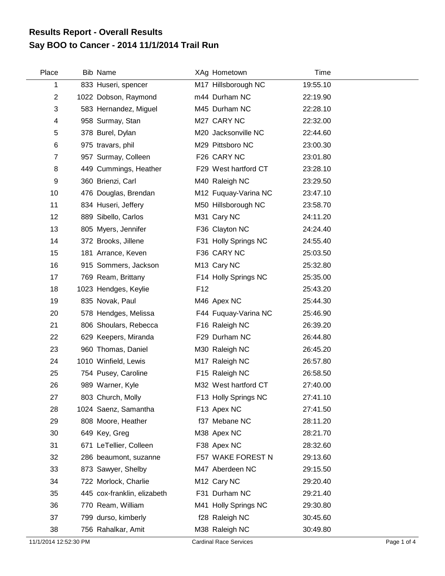## **Say BOO to Cancer - 2014 11/1/2014 Trail Run Results Report - Overall Results**

| Place          | Bib Name                    |                 | XAg Hometown            | Time     |  |
|----------------|-----------------------------|-----------------|-------------------------|----------|--|
| 1              | 833 Huseri, spencer         |                 | M17 Hillsborough NC     | 19:55.10 |  |
| $\overline{c}$ | 1022 Dobson, Raymond        |                 | m44 Durham NC           | 22:19.90 |  |
| 3              | 583 Hernandez, Miguel       |                 | M45 Durham NC           | 22:28.10 |  |
| 4              | 958 Surmay, Stan            |                 | M27 CARY NC             | 22:32.00 |  |
| 5              | 378 Burel, Dylan            |                 | M20 Jacksonville NC     | 22:44.60 |  |
| 6              | 975 travars, phil           |                 | M29 Pittsboro NC        | 23:00.30 |  |
| 7              | 957 Surmay, Colleen         |                 | F26 CARY NC             | 23:01.80 |  |
| 8              | 449 Cummings, Heather       |                 | F29 West hartford CT    | 23:28.10 |  |
| 9              | 360 Brienzi, Carl           |                 | M40 Raleigh NC          | 23:29.50 |  |
| 10             | 476 Douglas, Brendan        |                 | M12 Fuquay-Varina NC    | 23:47.10 |  |
| 11             | 834 Huseri, Jeffery         |                 | M50 Hillsborough NC     | 23:58.70 |  |
| 12             | 889 Sibello, Carlos         |                 | M31 Cary NC             | 24:11.20 |  |
| 13             | 805 Myers, Jennifer         |                 | F36 Clayton NC          | 24:24.40 |  |
| 14             | 372 Brooks, Jillene         |                 | F31 Holly Springs NC    | 24:55.40 |  |
| 15             | 181 Arrance, Keven          |                 | F36 CARY NC             | 25:03.50 |  |
| 16             | 915 Sommers, Jackson        |                 | M <sub>13</sub> Cary NC | 25:32.80 |  |
| 17             | 769 Ream, Brittany          |                 | F14 Holly Springs NC    | 25:35.00 |  |
| 18             | 1023 Hendges, Keylie        | F <sub>12</sub> |                         | 25:43.20 |  |
| 19             | 835 Novak, Paul             |                 | M46 Apex NC             | 25:44.30 |  |
| 20             | 578 Hendges, Melissa        |                 | F44 Fuquay-Varina NC    | 25:46.90 |  |
| 21             | 806 Shoulars, Rebecca       |                 | F16 Raleigh NC          | 26:39.20 |  |
| 22             | 629 Keepers, Miranda        |                 | F29 Durham NC           | 26:44.80 |  |
| 23             | 960 Thomas, Daniel          |                 | M30 Raleigh NC          | 26:45.20 |  |
| 24             | 1010 Winfield, Lewis        |                 | M17 Raleigh NC          | 26:57.80 |  |
| 25             | 754 Pusey, Caroline         |                 | F15 Raleigh NC          | 26:58.50 |  |
| 26             | 989 Warner, Kyle            |                 | M32 West hartford CT    | 27:40.00 |  |
| 27             | 803 Church, Molly           |                 | F13 Holly Springs NC    | 27:41.10 |  |
| 28             | 1024 Saenz, Samantha        |                 | F13 Apex NC             | 27:41.50 |  |
| 29             | 808 Moore, Heather          |                 | f37 Mebane NC           | 28:11.20 |  |
| 30             | 649 Key, Greg               |                 | M38 Apex NC             | 28:21.70 |  |
| 31             | 671 LeTellier, Colleen      |                 | F38 Apex NC             | 28:32.60 |  |
| 32             | 286 beaumont, suzanne       |                 | F57 WAKE FOREST N       | 29:13.60 |  |
| 33             | 873 Sawyer, Shelby          |                 | M47 Aberdeen NC         | 29:15.50 |  |
| 34             | 722 Morlock, Charlie        |                 | M <sub>12</sub> Cary NC | 29:20.40 |  |
| 35             | 445 cox-franklin, elizabeth |                 | F31 Durham NC           | 29:21.40 |  |
| 36             | 770 Ream, William           |                 | M41 Holly Springs NC    | 29:30.80 |  |
| 37             | 799 durso, kimberly         |                 | f28 Raleigh NC          | 30:45.60 |  |
| 38             | 756 Rahalkar, Amit          |                 | M38 Raleigh NC          | 30:49.80 |  |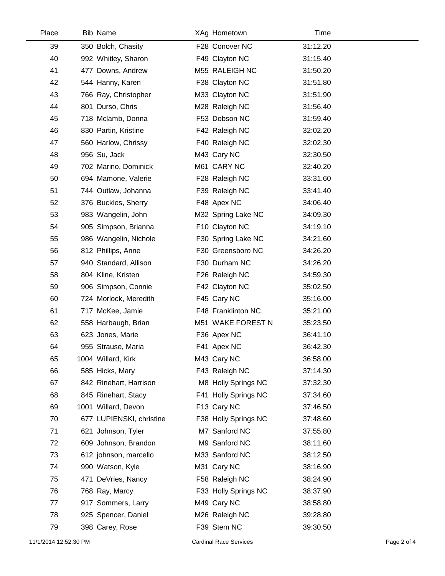| Place | <b>Bib Name</b>          | XAg Hometown         | Time     |  |
|-------|--------------------------|----------------------|----------|--|
| 39    | 350 Bolch, Chasity       | F28 Conover NC       | 31:12.20 |  |
| 40    | 992 Whitley, Sharon      | F49 Clayton NC       | 31:15.40 |  |
| 41    | 477 Downs, Andrew        | M55 RALEIGH NC       | 31:50.20 |  |
| 42    | 544 Hanny, Karen         | F38 Clayton NC       | 31:51.80 |  |
| 43    | 766 Ray, Christopher     | M33 Clayton NC       | 31:51.90 |  |
| 44    | 801 Durso, Chris         | M28 Raleigh NC       | 31:56.40 |  |
| 45    | 718 Mclamb, Donna        | F53 Dobson NC        | 31:59.40 |  |
| 46    | 830 Partin, Kristine     | F42 Raleigh NC       | 32:02.20 |  |
| 47    | 560 Harlow, Chrissy      | F40 Raleigh NC       | 32:02.30 |  |
| 48    | 956 Su, Jack             | M43 Cary NC          | 32:30.50 |  |
| 49    | 702 Marino, Dominick     | M61 CARY NC          | 32:40.20 |  |
| 50    | 694 Mamone, Valerie      | F28 Raleigh NC       | 33:31.60 |  |
| 51    | 744 Outlaw, Johanna      | F39 Raleigh NC       | 33:41.40 |  |
| 52    | 376 Buckles, Sherry      | F48 Apex NC          | 34:06.40 |  |
| 53    | 983 Wangelin, John       | M32 Spring Lake NC   | 34:09.30 |  |
| 54    | 905 Simpson, Brianna     | F10 Clayton NC       | 34:19.10 |  |
| 55    | 986 Wangelin, Nichole    | F30 Spring Lake NC   | 34:21.60 |  |
| 56    | 812 Phillips, Anne       | F30 Greensboro NC    | 34:26.20 |  |
| 57    | 940 Standard, Allison    | F30 Durham NC        | 34:26.20 |  |
| 58    | 804 Kline, Kristen       | F26 Raleigh NC       | 34:59.30 |  |
| 59    | 906 Simpson, Connie      | F42 Clayton NC       | 35:02.50 |  |
| 60    | 724 Morlock, Meredith    | F45 Cary NC          | 35:16.00 |  |
| 61    | 717 McKee, Jamie         | F48 Franklinton NC   | 35:21.00 |  |
| 62    | 558 Harbaugh, Brian      | M51 WAKE FOREST N    | 35:23.50 |  |
| 63    | 623 Jones, Marie         | F36 Apex NC          | 36:41.10 |  |
| 64    | 955 Strause, Maria       | F41 Apex NC          | 36:42.30 |  |
| 65    | 1004 Willard, Kirk       | M43 Cary NC          | 36:58.00 |  |
| 66    | 585 Hicks, Mary          | F43 Raleigh NC       | 37:14.30 |  |
| 67    | 842 Rinehart, Harrison   | M8 Holly Springs NC  | 37:32.30 |  |
| 68    | 845 Rinehart, Stacy      | F41 Holly Springs NC | 37:34.60 |  |
| 69    | 1001 Willard, Devon      | F13 Cary NC          | 37:46.50 |  |
| 70    | 677 LUPIENSKI, christine | F38 Holly Springs NC | 37:48.60 |  |
| 71    | 621 Johnson, Tyler       | M7 Sanford NC        | 37:55.80 |  |
| 72    | 609 Johnson, Brandon     | M9 Sanford NC        | 38:11.60 |  |
| 73    | 612 johnson, marcello    | M33 Sanford NC       | 38:12.50 |  |
| 74    | 990 Watson, Kyle         | M31 Cary NC          | 38:16.90 |  |
| 75    | 471 DeVries, Nancy       | F58 Raleigh NC       | 38:24.90 |  |
| 76    | 768 Ray, Marcy           | F33 Holly Springs NC | 38:37.90 |  |
| 77    | 917 Sommers, Larry       | M49 Cary NC          | 38:58.80 |  |
| 78    | 925 Spencer, Daniel      | M26 Raleigh NC       | 39:28.80 |  |
| 79    | 398 Carey, Rose          | F39 Stem NC          | 39:30.50 |  |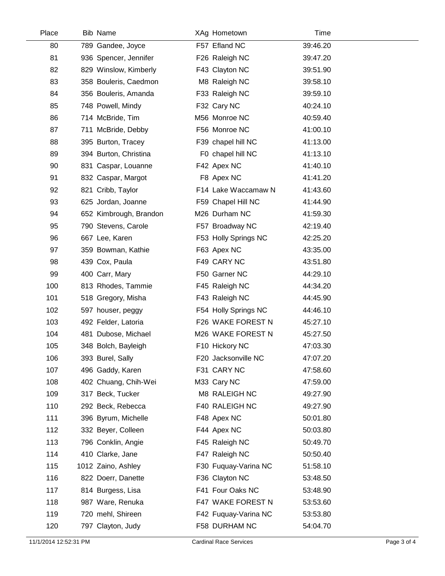| Place | Bib Name               | XAg Hometown         | Time     |  |
|-------|------------------------|----------------------|----------|--|
| 80    | 789 Gandee, Joyce      | F57 Efland NC        | 39:46.20 |  |
| 81    | 936 Spencer, Jennifer  | F26 Raleigh NC       | 39:47.20 |  |
| 82    | 829 Winslow, Kimberly  | F43 Clayton NC       | 39:51.90 |  |
| 83    | 358 Bouleris, Caedmon  | M8 Raleigh NC        | 39:58.10 |  |
| 84    | 356 Bouleris, Amanda   | F33 Raleigh NC       | 39:59.10 |  |
| 85    | 748 Powell, Mindy      | F32 Cary NC          | 40:24.10 |  |
| 86    | 714 McBride, Tim       | M56 Monroe NC        | 40:59.40 |  |
| 87    | 711 McBride, Debby     | F56 Monroe NC        | 41:00.10 |  |
| 88    | 395 Burton, Tracey     | F39 chapel hill NC   | 41:13.00 |  |
| 89    | 394 Burton, Christina  | F0 chapel hill NC    | 41:13.10 |  |
| 90    | 831 Caspar, Louanne    | F42 Apex NC          | 41:40.10 |  |
| 91    | 832 Caspar, Margot     | F8 Apex NC           | 41:41.20 |  |
| 92    | 821 Cribb, Taylor      | F14 Lake Waccamaw N  | 41:43.60 |  |
| 93    | 625 Jordan, Joanne     | F59 Chapel Hill NC   | 41:44.90 |  |
| 94    | 652 Kimbrough, Brandon | M26 Durham NC        | 41:59.30 |  |
| 95    | 790 Stevens, Carole    | F57 Broadway NC      | 42:19.40 |  |
| 96    | 667 Lee, Karen         | F53 Holly Springs NC | 42:25.20 |  |
| 97    | 359 Bowman, Kathie     | F63 Apex NC          | 43:35.00 |  |
| 98    | 439 Cox, Paula         | F49 CARY NC          | 43:51.80 |  |
| 99    | 400 Carr, Mary         | F50 Garner NC        | 44:29.10 |  |
| 100   | 813 Rhodes, Tammie     | F45 Raleigh NC       | 44:34.20 |  |
| 101   | 518 Gregory, Misha     | F43 Raleigh NC       | 44:45.90 |  |
| 102   | 597 houser, peggy      | F54 Holly Springs NC | 44:46.10 |  |
| 103   | 492 Felder, Latoria    | F26 WAKE FOREST N    | 45:27.10 |  |
| 104   | 481 Dubose, Michael    | M26 WAKE FOREST N    | 45:27.50 |  |
| 105   | 348 Bolch, Bayleigh    | F10 Hickory NC       | 47:03.30 |  |
| 106   | 393 Burel, Sally       | F20 Jacksonville NC  | 47:07.20 |  |
| 107   | 496 Gaddy, Karen       | F31 CARY NC          | 47:58.60 |  |
| 108   | 402 Chuang, Chih-Wei   | M33 Cary NC          | 47:59.00 |  |
| 109   | 317 Beck, Tucker       | M8 RALEIGH NC        | 49:27.90 |  |
| 110   | 292 Beck, Rebecca      | F40 RALEIGH NC       | 49:27.90 |  |
| 111   | 396 Byrum, Michelle    | F48 Apex NC          | 50:01.80 |  |
| 112   | 332 Beyer, Colleen     | F44 Apex NC          | 50:03.80 |  |
| 113   | 796 Conklin, Angie     | F45 Raleigh NC       | 50:49.70 |  |
| 114   | 410 Clarke, Jane       | F47 Raleigh NC       | 50:50.40 |  |
| 115   | 1012 Zaino, Ashley     | F30 Fuquay-Varina NC | 51:58.10 |  |
| 116   | 822 Doerr, Danette     | F36 Clayton NC       | 53:48.50 |  |
| 117   | 814 Burgess, Lisa      | F41 Four Oaks NC     | 53:48.90 |  |
| 118   | 987 Ware, Renuka       | F47 WAKE FOREST N    | 53:53.60 |  |
| 119   | 720 mehl, Shireen      | F42 Fuquay-Varina NC | 53:53.80 |  |
| 120   | 797 Clayton, Judy      | F58 DURHAM NC        | 54:04.70 |  |